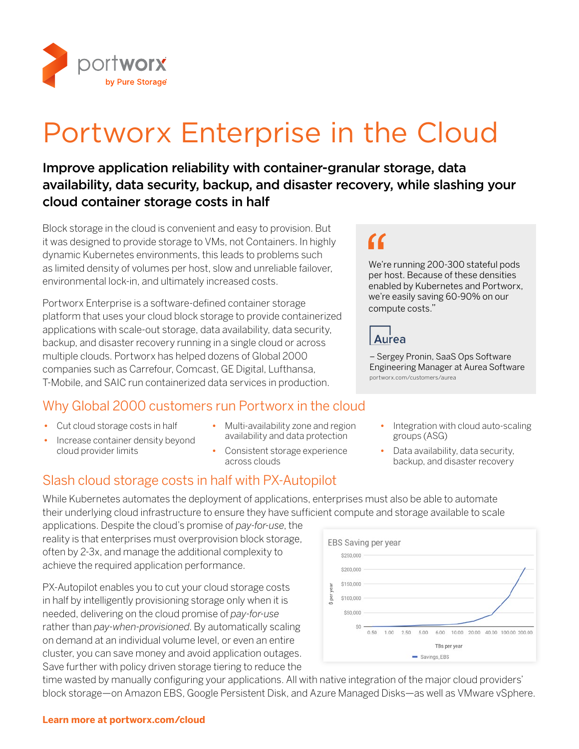

# Portworx Enterprise in the Cloud

### Improve application reliability with container-granular storage, data availability, data security, backup, and disaster recovery, while slashing your cloud container storage costs in half

Block storage in the cloud is convenient and easy to provision. But it was designed to provide storage to VMs, not Containers. In highly dynamic Kubernetes environments, this leads to problems such as limited density of volumes per host, slow and unreliable failover, environmental lock-in, and ultimately increased costs.

Portworx Enterprise is a software-defined container storage platform that uses your cloud block storage to provide containerized applications with scale-out storage, data availability, data security, backup, and disaster recovery running in a single cloud or across multiple clouds. Portworx has helped dozens of Global 2000 companies such as Carrefour, Comcast, GE Digital, Lufthansa, T-Mobile, and SAIC run containerized data services in production.

### Why Global 2000 customers run Portworx in the cloud

- *•* Cut cloud storage costs in half
- *•* Increase container density beyond cloud provider limits
- *•* Multi-availability zone and region availability and data protection
- *•* Consistent storage experience across clouds

### Slash cloud storage costs in half with PX-Autopilot

While Kubernetes automates the deployment of applications, enterprises must also be able to automate their underlying cloud infrastructure to ensure they have sufficient compute and storage available to scale

applications. Despite the cloud's promise of *pay-for-use*, the reality is that enterprises must overprovision block storage, often by 2-3x, and manage the additional complexity to achieve the required application performance.

PX-Autopilot enables you to cut your cloud storage costs in half by intelligently provisioning storage only when it is needed, delivering on the cloud promise of *pay-for-use* rather than *pay-when-provisioned*. By automatically scaling on demand at an individual volume level, or even an entire cluster, you can save money and avoid application outages. Save further with policy driven storage tiering to reduce the



time wasted by manually configuring your applications. All with native integration of the major cloud providers' block storage—on Amazon EBS, Google Persistent Disk, and Azure Managed Disks—as well as VMware vSphere.

## "

We're running 200-300 stateful pods per host. Because of these densities enabled by Kubernetes and Portworx, we're easily saving 60-90% on our compute costs."



– Sergey Pronin, SaaS Ops Software Engineering Manager at Aurea Software [portworx.com/customers/a](https://portworx.com/customers/aurea)urea

- *•* Integration with cloud auto-scaling groups (ASG)
- *•* Data availability, data security, backup, and disaster recovery